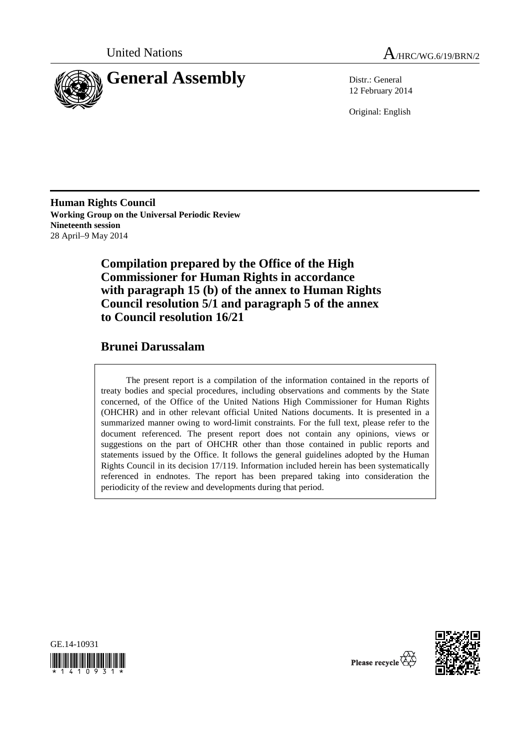



12 February 2014

Original: English

**Human Rights Council Working Group on the Universal Periodic Review Nineteenth session**  28 April–9 May 2014

> **Compilation prepared by the Office of the High Commissioner for Human Rights in accordance with paragraph 15 (b) of the annex to Human Rights Council resolution 5/1 and paragraph 5 of the annex to Council resolution 16/21**

# **Brunei Darussalam**

The present report is a compilation of the information contained in the reports of treaty bodies and special procedures, including observations and comments by the State concerned, of the Office of the United Nations High Commissioner for Human Rights (OHCHR) and in other relevant official United Nations documents. It is presented in a summarized manner owing to word-limit constraints. For the full text, please refer to the document referenced. The present report does not contain any opinions, views or suggestions on the part of OHCHR other than those contained in public reports and statements issued by the Office. It follows the general guidelines adopted by the Human Rights Council in its decision 17/119. Information included herein has been systematically referenced in endnotes. The report has been prepared taking into consideration the periodicity of the review and developments during that period.





Please recycle  $\vec{\nabla}$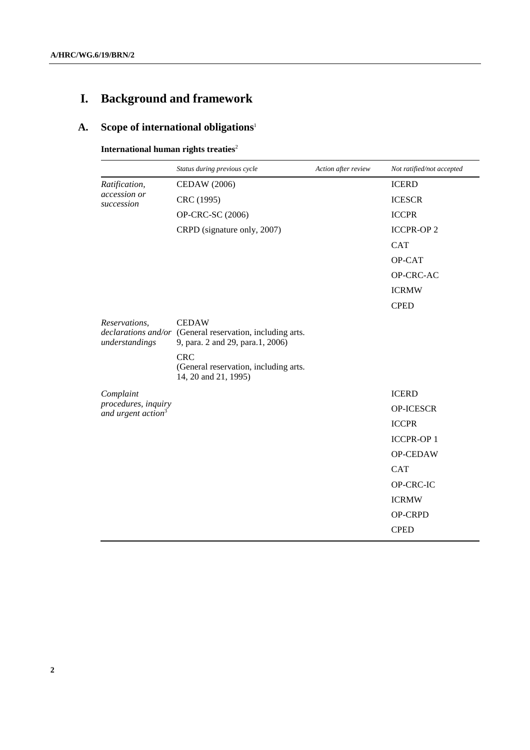# **I. Background and framework**

# **A. Scope of international obligations**<sup>1</sup>

## **International human rights treaties<sup>2</sup>**

|                                                       | Status during previous cycle                                                                                   | Action after review | Not ratified/not accepted |
|-------------------------------------------------------|----------------------------------------------------------------------------------------------------------------|---------------------|---------------------------|
| Ratification,<br>accession or<br>succession           | <b>CEDAW</b> (2006)                                                                                            |                     | <b>ICERD</b>              |
|                                                       | CRC (1995)                                                                                                     |                     | <b>ICESCR</b>             |
|                                                       | OP-CRC-SC (2006)                                                                                               |                     | <b>ICCPR</b>              |
|                                                       | CRPD (signature only, 2007)                                                                                    |                     | <b>ICCPR-OP2</b>          |
|                                                       |                                                                                                                |                     | <b>CAT</b>                |
|                                                       |                                                                                                                |                     | OP-CAT                    |
|                                                       |                                                                                                                |                     | OP-CRC-AC                 |
|                                                       |                                                                                                                |                     | <b>ICRMW</b>              |
|                                                       |                                                                                                                |                     | <b>CPED</b>               |
| Reservations,<br>understandings                       | <b>CEDAW</b><br>declarations and/or (General reservation, including arts.<br>9, para. 2 and 29, para. 1, 2006) |                     |                           |
|                                                       | <b>CRC</b><br>(General reservation, including arts.<br>14, 20 and 21, 1995)                                    |                     |                           |
| Complaint                                             |                                                                                                                |                     | <b>ICERD</b>              |
| procedures, inquiry<br>and urgent action <sup>3</sup> |                                                                                                                |                     | OP-ICESCR                 |
|                                                       |                                                                                                                |                     | <b>ICCPR</b>              |
|                                                       |                                                                                                                |                     | <b>ICCPR-OP1</b>          |
|                                                       |                                                                                                                |                     | OP-CEDAW                  |
|                                                       |                                                                                                                |                     | <b>CAT</b>                |
|                                                       |                                                                                                                |                     | OP-CRC-IC                 |
|                                                       |                                                                                                                |                     | <b>ICRMW</b>              |
|                                                       |                                                                                                                |                     | <b>OP-CRPD</b>            |
|                                                       |                                                                                                                |                     | <b>CPED</b>               |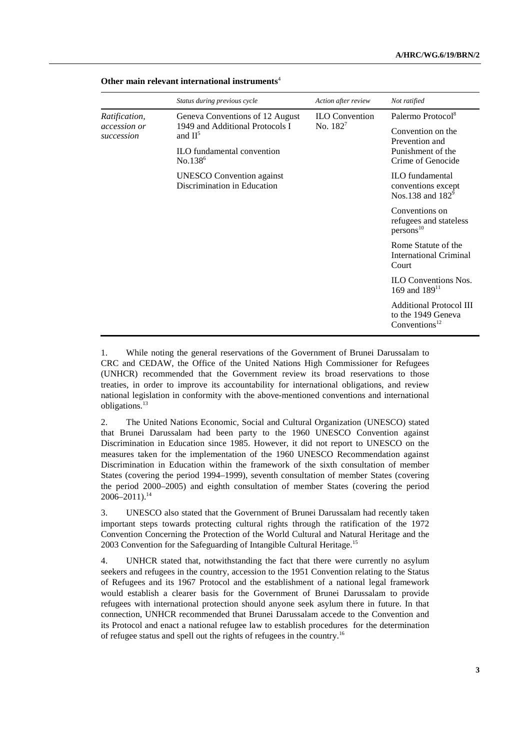|                                             | Status during previous cycle                                                     | Action after review                  | Not ratified                                                                      |
|---------------------------------------------|----------------------------------------------------------------------------------|--------------------------------------|-----------------------------------------------------------------------------------|
| Ratification,<br>accession or<br>succession | Geneva Conventions of 12 August<br>1949 and Additional Protocols I<br>and $II^5$ | <b>ILO</b> Convention<br>No. $182^7$ | Palermo Protocol <sup>8</sup><br>Convention on the<br>Prevention and              |
|                                             | ILO fundamental convention<br>No.138 <sup>6</sup>                                |                                      | Punishment of the<br>Crime of Genocide                                            |
|                                             | <b>UNESCO</b> Convention against<br>Discrimination in Education                  |                                      | <b>ILO</b> fundamental<br>conventions except<br>Nos.138 and $182^9$               |
|                                             |                                                                                  |                                      | Conventions on<br>refugees and stateless<br>persons <sup>10</sup>                 |
|                                             |                                                                                  |                                      | Rome Statute of the<br><b>International Criminal</b><br>Court                     |
|                                             |                                                                                  |                                      | <b>ILO</b> Conventions Nos.<br>169 and $189^{11}$                                 |
|                                             |                                                                                  |                                      | <b>Additional Protocol III</b><br>to the 1949 Geneva<br>Conventions <sup>12</sup> |

#### **Other main relevant international instruments**<sup>4</sup>

1. While noting the general reservations of the Government of Brunei Darussalam to CRC and CEDAW, the Office of the United Nations High Commissioner for Refugees (UNHCR) recommended that the Government review its broad reservations to those treaties, in order to improve its accountability for international obligations, and review national legislation in conformity with the above-mentioned conventions and international obligations.13

2. The United Nations Economic, Social and Cultural Organization (UNESCO) stated that Brunei Darussalam had been party to the 1960 UNESCO Convention against Discrimination in Education since 1985. However, it did not report to UNESCO on the measures taken for the implementation of the 1960 UNESCO Recommendation against Discrimination in Education within the framework of the sixth consultation of member States (covering the period 1994–1999), seventh consultation of member States (covering the period 2000–2005) and eighth consultation of member States (covering the period  $2006 - 2011$ .<sup>14</sup>

3. UNESCO also stated that the Government of Brunei Darussalam had recently taken important steps towards protecting cultural rights through the ratification of the 1972 Convention Concerning the Protection of the World Cultural and Natural Heritage and the 2003 Convention for the Safeguarding of Intangible Cultural Heritage.<sup>15</sup>

4. UNHCR stated that, notwithstanding the fact that there were currently no asylum seekers and refugees in the country, accession to the 1951 Convention relating to the Status of Refugees and its 1967 Protocol and the establishment of a national legal framework would establish a clearer basis for the Government of Brunei Darussalam to provide refugees with international protection should anyone seek asylum there in future. In that connection, UNHCR recommended that Brunei Darussalam accede to the Convention and its Protocol and enact a national refugee law to establish procedures for the determination of refugee status and spell out the rights of refugees in the country.16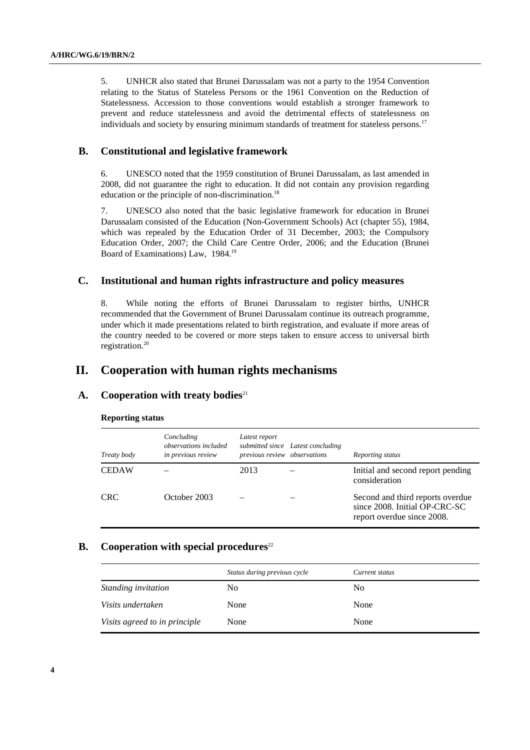5. UNHCR also stated that Brunei Darussalam was not a party to the 1954 Convention relating to the Status of Stateless Persons or the 1961 Convention on the Reduction of Statelessness. Accession to those conventions would establish a stronger framework to prevent and reduce statelessness and avoid the detrimental effects of statelessness on individuals and society by ensuring minimum standards of treatment for stateless persons.<sup>17</sup>

#### **B. Constitutional and legislative framework**

6. UNESCO noted that the 1959 constitution of Brunei Darussalam, as last amended in 2008, did not guarantee the right to education. It did not contain any provision regarding education or the principle of non-discrimination. $^{18}$ 

7. UNESCO also noted that the basic legislative framework for education in Brunei Darussalam consisted of the Education (Non-Government Schools) Act (chapter 55), 1984, which was repealed by the Education Order of 31 December, 2003; the Compulsory Education Order, 2007; the Child Care Centre Order, 2006; and the Education (Brunei Board of Examinations) Law, 1984.19

#### **C. Institutional and human rights infrastructure and policy measures**

8. While noting the efforts of Brunei Darussalam to register births, UNHCR recommended that the Government of Brunei Darussalam continue its outreach programme, under which it made presentations related to birth registration, and evaluate if more areas of the country needed to be covered or more steps taken to ensure access to universal birth registration.20

#### **II. Cooperation with human rights mechanisms**

#### **A.** Cooperation with treaty bodies<sup>21</sup>

|  | <b>Reporting status</b> |  |
|--|-------------------------|--|
|--|-------------------------|--|

| Treaty body  | Concluding<br>observations included<br>in previous review | Latest report<br>previous review observations | submitted since Latest concluding | Reporting status                                                                                |
|--------------|-----------------------------------------------------------|-----------------------------------------------|-----------------------------------|-------------------------------------------------------------------------------------------------|
| <b>CEDAW</b> |                                                           | 2013                                          |                                   | Initial and second report pending<br>consideration                                              |
| <b>CRC</b>   | October 2003                                              |                                               |                                   | Second and third reports overdue<br>since 2008. Initial OP-CRC-SC<br>report overdue since 2008. |

#### **B.** Cooperation with special procedures<sup>22</sup>

|                               | Status during previous cycle | Current status |
|-------------------------------|------------------------------|----------------|
| Standing invitation           | No                           | No             |
| Visits undertaken             | None                         | None           |
| Visits agreed to in principle | None                         | None           |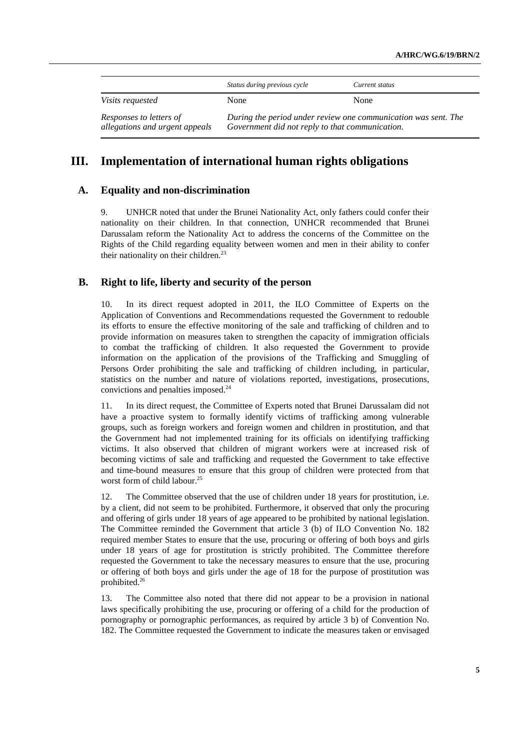|                                                                                                                                                                                | Status during previous cycle | Current status |
|--------------------------------------------------------------------------------------------------------------------------------------------------------------------------------|------------------------------|----------------|
| <i>Visits requested</i>                                                                                                                                                        | None                         | None           |
| During the period under review one communication was sent. The<br>Responses to letters of<br>allegations and urgent appeals<br>Government did not reply to that communication. |                              |                |

## **III. Implementation of international human rights obligations**

#### **A. Equality and non-discrimination**

9. UNHCR noted that under the Brunei Nationality Act, only fathers could confer their nationality on their children. In that connection, UNHCR recommended that Brunei Darussalam reform the Nationality Act to address the concerns of the Committee on the Rights of the Child regarding equality between women and men in their ability to confer their nationality on their children.<sup>23</sup>

#### **B. Right to life, liberty and security of the person**

10. In its direct request adopted in 2011, the ILO Committee of Experts on the Application of Conventions and Recommendations requested the Government to redouble its efforts to ensure the effective monitoring of the sale and trafficking of children and to provide information on measures taken to strengthen the capacity of immigration officials to combat the trafficking of children. It also requested the Government to provide information on the application of the provisions of the Trafficking and Smuggling of Persons Order prohibiting the sale and trafficking of children including, in particular, statistics on the number and nature of violations reported, investigations, prosecutions, convictions and penalties imposed. $^{24}$ 

11. In its direct request, the Committee of Experts noted that Brunei Darussalam did not have a proactive system to formally identify victims of trafficking among vulnerable groups, such as foreign workers and foreign women and children in prostitution, and that the Government had not implemented training for its officials on identifying trafficking victims. It also observed that children of migrant workers were at increased risk of becoming victims of sale and trafficking and requested the Government to take effective and time-bound measures to ensure that this group of children were protected from that worst form of child labour.<sup>25</sup>

12. The Committee observed that the use of children under 18 years for prostitution, i.e. by a client, did not seem to be prohibited. Furthermore, it observed that only the procuring and offering of girls under 18 years of age appeared to be prohibited by national legislation. The Committee reminded the Government that article 3 (b) of ILO Convention No. 182 required member States to ensure that the use, procuring or offering of both boys and girls under 18 years of age for prostitution is strictly prohibited. The Committee therefore requested the Government to take the necessary measures to ensure that the use, procuring or offering of both boys and girls under the age of 18 for the purpose of prostitution was prohibited.26

13. The Committee also noted that there did not appear to be a provision in national laws specifically prohibiting the use, procuring or offering of a child for the production of pornography or pornographic performances, as required by article 3 b) of Convention No. 182. The Committee requested the Government to indicate the measures taken or envisaged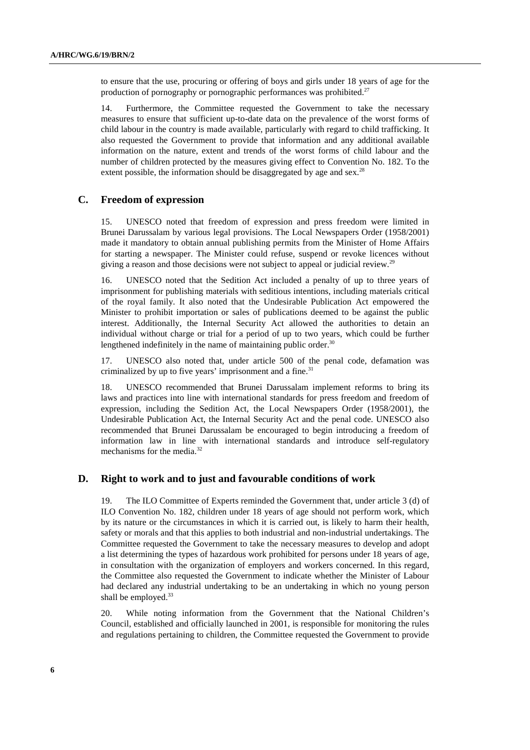to ensure that the use, procuring or offering of boys and girls under 18 years of age for the production of pornography or pornographic performances was prohibited.<sup>27</sup>

14. Furthermore, the Committee requested the Government to take the necessary measures to ensure that sufficient up-to-date data on the prevalence of the worst forms of child labour in the country is made available, particularly with regard to child trafficking. It also requested the Government to provide that information and any additional available information on the nature, extent and trends of the worst forms of child labour and the number of children protected by the measures giving effect to Convention No. 182. To the extent possible, the information should be disaggregated by age and sex.<sup>28</sup>

#### **C. Freedom of expression**

15. UNESCO noted that freedom of expression and press freedom were limited in Brunei Darussalam by various legal provisions. The Local Newspapers Order (1958/2001) made it mandatory to obtain annual publishing permits from the Minister of Home Affairs for starting a newspaper. The Minister could refuse, suspend or revoke licences without giving a reason and those decisions were not subject to appeal or judicial review.<sup>29</sup>

16. UNESCO noted that the Sedition Act included a penalty of up to three years of imprisonment for publishing materials with seditious intentions, including materials critical of the royal family. It also noted that the Undesirable Publication Act empowered the Minister to prohibit importation or sales of publications deemed to be against the public interest. Additionally, the Internal Security Act allowed the authorities to detain an individual without charge or trial for a period of up to two years, which could be further lengthened indefinitely in the name of maintaining public order. $30$ 

17. UNESCO also noted that, under article 500 of the penal code, defamation was criminalized by up to five years' imprisonment and a fine.<sup>31</sup>

18. UNESCO recommended that Brunei Darussalam implement reforms to bring its laws and practices into line with international standards for press freedom and freedom of expression, including the Sedition Act, the Local Newspapers Order (1958/2001), the Undesirable Publication Act, the Internal Security Act and the penal code. UNESCO also recommended that Brunei Darussalam be encouraged to begin introducing a freedom of information law in line with international standards and introduce self-regulatory mechanisms for the media.<sup>32</sup>

#### **D. Right to work and to just and favourable conditions of work**

19. The ILO Committee of Experts reminded the Government that, under article 3 (d) of ILO Convention No. 182, children under 18 years of age should not perform work, which by its nature or the circumstances in which it is carried out, is likely to harm their health, safety or morals and that this applies to both industrial and non-industrial undertakings. The Committee requested the Government to take the necessary measures to develop and adopt a list determining the types of hazardous work prohibited for persons under 18 years of age, in consultation with the organization of employers and workers concerned. In this regard, the Committee also requested the Government to indicate whether the Minister of Labour had declared any industrial undertaking to be an undertaking in which no young person shall be employed.<sup>33</sup>

20. While noting information from the Government that the National Children's Council, established and officially launched in 2001, is responsible for monitoring the rules and regulations pertaining to children, the Committee requested the Government to provide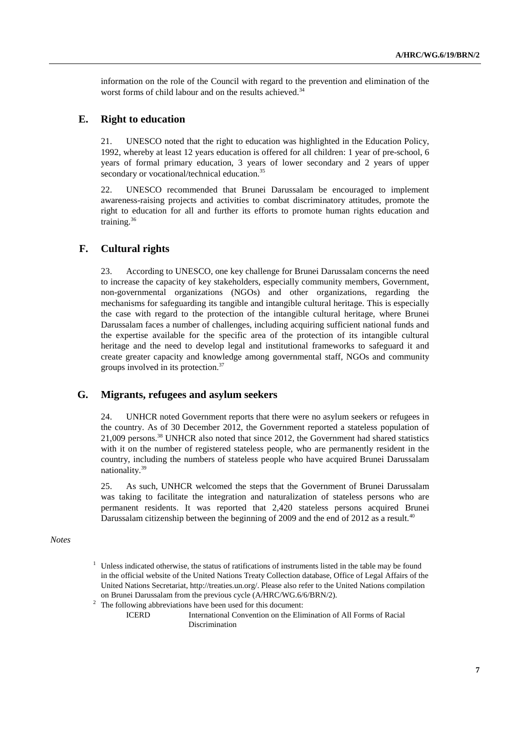information on the role of the Council with regard to the prevention and elimination of the worst forms of child labour and on the results achieved.<sup>34</sup>

#### **E. Right to education**

21. UNESCO noted that the right to education was highlighted in the Education Policy, 1992, whereby at least 12 years education is offered for all children: 1 year of pre-school, 6 years of formal primary education, 3 years of lower secondary and 2 years of upper secondary or vocational/technical education.<sup>35</sup>

22. UNESCO recommended that Brunei Darussalam be encouraged to implement awareness-raising projects and activities to combat discriminatory attitudes, promote the right to education for all and further its efforts to promote human rights education and training.36

#### **F. Cultural rights**

23. According to UNESCO, one key challenge for Brunei Darussalam concerns the need to increase the capacity of key stakeholders, especially community members, Government, non-governmental organizations (NGOs) and other organizations, regarding the mechanisms for safeguarding its tangible and intangible cultural heritage. This is especially the case with regard to the protection of the intangible cultural heritage, where Brunei Darussalam faces a number of challenges, including acquiring sufficient national funds and the expertise available for the specific area of the protection of its intangible cultural heritage and the need to develop legal and institutional frameworks to safeguard it and create greater capacity and knowledge among governmental staff, NGOs and community groups involved in its protection.37

#### **G. Migrants, refugees and asylum seekers**

24. UNHCR noted Government reports that there were no asylum seekers or refugees in the country. As of 30 December 2012, the Government reported a stateless population of 21,009 persons.38 UNHCR also noted that since 2012, the Government had shared statistics with it on the number of registered stateless people, who are permanently resident in the country, including the numbers of stateless people who have acquired Brunei Darussalam nationality.39

25. As such, UNHCR welcomed the steps that the Government of Brunei Darussalam was taking to facilitate the integration and naturalization of stateless persons who are permanent residents. It was reported that 2,420 stateless persons acquired Brunei Darussalam citizenship between the beginning of 2009 and the end of 2012 as a result.<sup>40</sup>

*Notes* 

 $1$  Unless indicated otherwise, the status of ratifications of instruments listed in the table may be found in the official website of the United Nations Treaty Collection database, Office of Legal Affairs of the United Nations Secretariat, http://treaties.un.org/. Please also refer to the United Nations compilation on Brunei Darussalam from the previous cycle (A/HRC/WG.6/6/BRN/2).

 $\frac{1}{2}$  The following abbreviations have been used for this document:

ICERD International Convention on the Elimination of All Forms of Racial Discrimination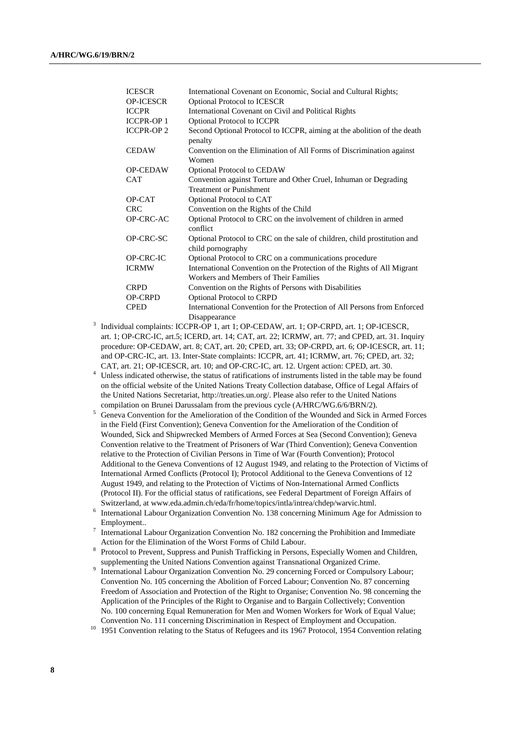| <b>ICESCR</b>     | International Covenant on Economic, Social and Cultural Rights;                               |
|-------------------|-----------------------------------------------------------------------------------------------|
| <b>OP-ICESCR</b>  | Optional Protocol to ICESCR                                                                   |
| <b>ICCPR</b>      | International Covenant on Civil and Political Rights                                          |
| <b>ICCPR-OP 1</b> | <b>Optional Protocol to ICCPR</b>                                                             |
| <b>ICCPR-OP2</b>  | Second Optional Protocol to ICCPR, aiming at the abolition of the death<br>penalty            |
| <b>CEDAW</b>      | Convention on the Elimination of All Forms of Discrimination against<br>Women                 |
| <b>OP-CEDAW</b>   | <b>Optional Protocol to CEDAW</b>                                                             |
| <b>CAT</b>        | Convention against Torture and Other Cruel, Inhuman or Degrading                              |
|                   | <b>Treatment or Punishment</b>                                                                |
| OP-CAT            | Optional Protocol to CAT                                                                      |
| <b>CRC</b>        | Convention on the Rights of the Child                                                         |
| OP-CRC-AC         | Optional Protocol to CRC on the involvement of children in armed<br>conflict                  |
| OP-CRC-SC         | Optional Protocol to CRC on the sale of children, child prostitution and<br>child pornography |
| OP-CRC-IC         | Optional Protocol to CRC on a communications procedure                                        |
| <b>ICRMW</b>      | International Convention on the Protection of the Rights of All Migrant                       |
|                   | Workers and Members of Their Families                                                         |
| <b>CRPD</b>       | Convention on the Rights of Persons with Disabilities                                         |
| <b>OP-CRPD</b>    | <b>Optional Protocol to CRPD</b>                                                              |
| <b>CPED</b>       | International Convention for the Protection of All Persons from Enforced                      |
|                   | Disappearance                                                                                 |
|                   | Individual complaints: ICCPR-OP 1, art 1; OP-CEDAW, art. 1; OP-CRPD, art. 1; OP-ICESCR,       |

- art. 1; OP-CRC-IC, art.5; ICERD, art. 14; CAT, art. 22; ICRMW, art. 77; and CPED, art. 31. Inquiry procedure: OP-CEDAW, art. 8; CAT, art. 20; CPED, art. 33; OP-CRPD, art. 6; OP-ICESCR, art. 11; and OP-CRC-IC, art. 13. Inter-State complaints: ICCPR, art. 41; ICRMW, art. 76; CPED, art. 32; CAT, art. 21; OP-ICESCR, art. 10; and OP-CRC-IC, art. 12. Urgent action: CPED, art. 30. 4
- Unless indicated otherwise, the status of ratifications of instruments listed in the table may be found on the official website of the United Nations Treaty Collection database, Office of Legal Affairs of the United Nations Secretariat, http://treaties.un.org/. Please also refer to the United Nations
- compilation on Brunei Darussalam from the previous cycle (A/HRC/WG.6/6/BRN/2). 5 Geneva Convention for the Amelioration of the Condition of the Wounded and Sick in Armed Forces in the Field (First Convention); Geneva Convention for the Amelioration of the Condition of Wounded, Sick and Shipwrecked Members of Armed Forces at Sea (Second Convention); Geneva Convention relative to the Treatment of Prisoners of War (Third Convention); Geneva Convention relative to the Protection of Civilian Persons in Time of War (Fourth Convention); Protocol Additional to the Geneva Conventions of 12 August 1949, and relating to the Protection of Victims of International Armed Conflicts (Protocol I); Protocol Additional to the Geneva Conventions of 12 August 1949, and relating to the Protection of Victims of Non-International Armed Conflicts (Protocol II). For the official status of ratifications, see Federal Department of Foreign Affairs of Switzerland, at www.eda.admin.ch/eda/fr/home/topics/intla/intrea/chdep/warvic.html.<br><sup>6</sup> International Labour Oppositation Convention No. 128 opposition Minimum Age for
- International Labour Organization Convention No. 138 concerning Minimum Age for Admission to Employment..
- International Labour Organization Convention No. 182 concerning the Prohibition and Immediate Action for the Elimination of the Worst Forms of Child Labour.<br><sup>8</sup> Protocol to Prayent, Suppress and Punish Trafficking in Persons
- Protocol to Prevent, Suppress and Punish Trafficking in Persons, Especially Women and Children, supplementing the United Nations Convention against Transnational Organized Crime.<br><sup>9</sup> International Labour Organization Convention No. 29 concerning Forced or Compulsor
- International Labour Organization Convention No. 29 concerning Forced or Compulsory Labour; Convention No. 105 concerning the Abolition of Forced Labour; Convention No. 87 concerning Freedom of Association and Protection of the Right to Organise; Convention No. 98 concerning the Application of the Principles of the Right to Organise and to Bargain Collectively; Convention No. 100 concerning Equal Remuneration for Men and Women Workers for Work of Equal Value;<br>Convention No. 111 concerning Discrimination in Respect of Employment and Occupation.
- $10$  1951 Convention relating to the Status of Refugees and its 1967 Protocol, 1954 Convention relating